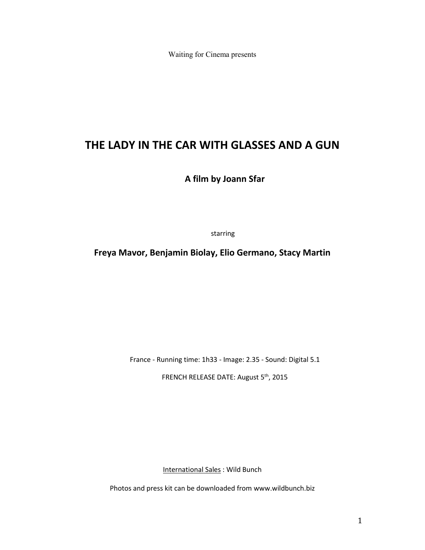Waiting for Cinema presents

# **THE LADY IN THE CAR WITH GLASSES AND A GUN**

**A film by Joann Sfar**

starring

**Freya Mavor, Benjamin Biolay, Elio Germano, Stacy Martin**

France - Running time: 1h33 - Image: 2.35 - Sound: Digital 5.1

FRENCH RELEASE DATE: August 5th, 2015

International Sales : Wild Bunch

Photos and press kit can be downloaded from www.wildbunch.biz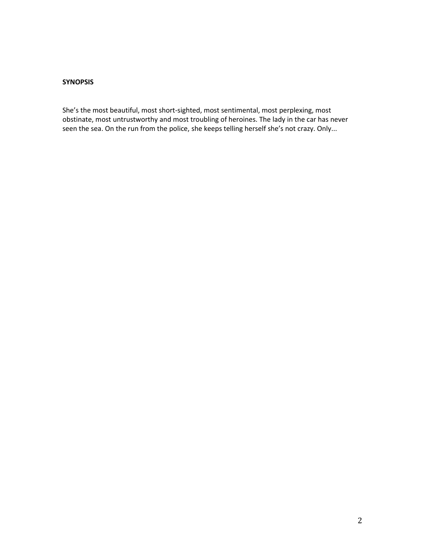## **SYNOPSIS**

She's the most beautiful, most short-sighted, most sentimental, most perplexing, most obstinate, most untrustworthy and most troubling of heroines. The lady in the car has never seen the sea. On the run from the police, she keeps telling herself she's not crazy. Only...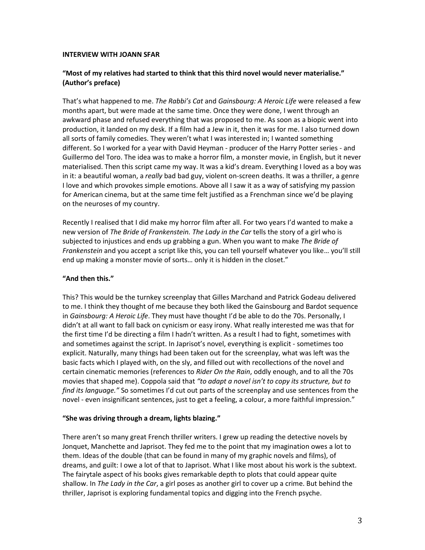#### **INTERVIEW WITH JOANN SFAR**

## **"Most of my relatives had started to think that this third novel would never materialise." (Author's preface)**

That's what happened to me. *The Rabbi's Cat* and *Gainsbourg: A Heroic Life* were released a few months apart, but were made at the same time. Once they were done, I went through an awkward phase and refused everything that was proposed to me. As soon as a biopic went into production, it landed on my desk. If a film had a Jew in it, then it was for me. I also turned down all sorts of family comedies. They weren't what I was interested in; I wanted something different. So I worked for a year with David Heyman - producer of the Harry Potter series - and Guillermo del Toro. The idea was to make a horror film, a monster movie, in English, but it never materialised. Then this script came my way. It was a kid's dream. Everything I loved as a boy was in it: a beautiful woman, a *really* bad bad guy, violent on-screen deaths. It was a thriller, a genre I love and which provokes simple emotions. Above all I saw it as a way of satisfying my passion for American cinema, but at the same time felt justified as a Frenchman since we'd be playing on the neuroses of my country.

Recently I realised that I did make my horror film after all. For two years I'd wanted to make a new version of *The Bride of Frankenstein. The Lady in the Car* tells the story of a girl who is subjected to injustices and ends up grabbing a gun. When you want to make *The Bride of Frankenstein* and you accept a script like this, you can tell yourself whatever you like… you'll still end up making a monster movie of sorts… only it is hidden in the closet."

## **"And then this."**

This? This would be the turnkey screenplay that Gilles Marchand and Patrick Godeau delivered to me. I think they thought of me because they both liked the Gainsbourg and Bardot sequence in *Gainsbourg: A Heroic Life*. They must have thought I'd be able to do the 70s. Personally, I didn't at all want to fall back on cynicism or easy irony. What really interested me was that for the first time I'd be directing a film I hadn't written. As a result I had to fight, sometimes with and sometimes against the script. In Japrisot's novel, everything is explicit - sometimes too explicit. Naturally, many things had been taken out for the screenplay, what was left was the basic facts which I played with, on the sly, and filled out with recollections of the novel and certain cinematic memories (references to *Rider On the Rain*, oddly enough, and to all the 70s movies that shaped me). Coppola said that *"to adapt a novel isn't to copy its structure, but to find its language."* So sometimes I'd cut out parts of the screenplay and use sentences from the novel - even insignificant sentences, just to get a feeling, a colour, a more faithful impression."

#### **"She was driving through a dream, lights blazing."**

There aren't so many great French thriller writers. I grew up reading the detective novels by Jonquet, Manchette and Japrisot. They fed me to the point that my imagination owes a lot to them. Ideas of the double (that can be found in many of my graphic novels and films), of dreams, and guilt: I owe a lot of that to Japrisot. What I like most about his work is the subtext. The fairytale aspect of his books gives remarkable depth to plots that could appear quite shallow. In *The Lady in the Car*, a girl poses as another girl to cover up a crime. But behind the thriller, Japrisot is exploring fundamental topics and digging into the French psyche.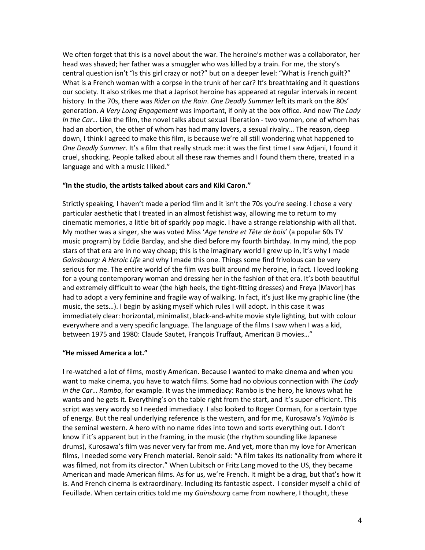We often forget that this is a novel about the war. The heroine's mother was a collaborator, her head was shaved; her father was a smuggler who was killed by a train. For me, the story's central question isn't "Is this girl crazy or not?" but on a deeper level: "What is French guilt?" What is a French woman with a corpse in the trunk of her car? It's breathtaking and it questions our society. It also strikes me that a Japrisot heroine has appeared at regular intervals in recent history. In the 70s, there was *Rider on the Rain*. *One Deadly Summer* left its mark on the 80s' generation. *A Very Long Engagement* was important, if only at the box office. And now *The Lady In the Car…* Like the film, the novel talks about sexual liberation - two women, one of whom has had an abortion, the other of whom has had many lovers, a sexual rivalry… The reason, deep down, I think I agreed to make this film, is because we're all still wondering what happened to *One Deadly Summer*. It's a film that really struck me: it was the first time I saw Adjani, I found it cruel, shocking. People talked about all these raw themes and I found them there, treated in a language and with a music I liked."

#### **"In the studio, the artists talked about cars and Kiki Caron."**

Strictly speaking, I haven't made a period film and it isn't the 70s you're seeing. I chose a very particular aesthetic that I treated in an almost fetishist way, allowing me to return to my cinematic memories, a little bit of sparkly pop magic. I have a strange relationship with all that. My mother was a singer, she was voted Miss '*Age tendre et Tête de bois*' (a popular 60s TV music program) by Eddie Barclay, and she died before my fourth birthday. In my mind, the pop stars of that era are in no way cheap; this is the imaginary world I grew up in, it's why I made *Gainsbourg: A Heroic Life* and why I made this one. Things some find frivolous can be very serious for me. The entire world of the film was built around my heroine, in fact. I loved looking for a young contemporary woman and dressing her in the fashion of that era. It's both beautiful and extremely difficult to wear (the high heels, the tight-fitting dresses) and Freya [Mavor] has had to adopt a very feminine and fragile way of walking. In fact, it's just like my graphic line (the music, the sets…). I begin by asking myself which rules I will adopt. In this case it was immediately clear: horizontal, minimalist, black-and-white movie style lighting, but with colour everywhere and a very specific language. The language of the films I saw when I was a kid, between 1975 and 1980: Claude Sautet, François Truffaut, American B movies…"

## **"He missed America a lot."**

I re-watched a lot of films, mostly American. Because I wanted to make cinema and when you want to make cinema, you have to watch films. Some had no obvious connection with *The Lady in the Car*… *Rambo*, for example. It was the immediacy: Rambo is the hero, he knows what he wants and he gets it. Everything's on the table right from the start, and it's super-efficient. This script was very wordy so I needed immediacy. I also looked to Roger Corman, for a certain type of energy. But the real underlying reference is the western, and for me, Kurosawa's *Yojimbo* is the seminal western. A hero with no name rides into town and sorts everything out. I don't know if it's apparent but in the framing, in the music (the rhythm sounding like Japanese drums), Kurosawa's film was never very far from me. And yet, more than my love for American films, I needed some very French material. Renoir said: "A film takes its nationality from where it was filmed, not from its director." When Lubitsch or Fritz Lang moved to the US, they became American and made American films. As for us, we're French. It might be a drag, but that's how it is. And French cinema is extraordinary. Including its fantastic aspect. I consider myself a child of Feuillade. When certain critics told me my *Gainsbourg* came from nowhere, I thought, these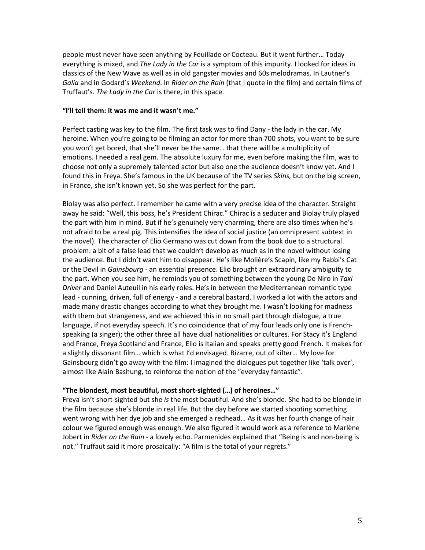people must never have seen anything by Feuillade or Cocteau. But it went further… Today everything is mixed, and *The Lady in the Car* is a symptom of this impurity. I looked for ideas in classics of the New Wave as well as in old gangster movies and 60s melodramas. In Lautner's *Galia* and in Godard's *Weekend*. In *Rider on the Rain* (that I quote in the film) and certain films of Truffaut's. *The Lady in the Car* is there, in this space.

## **"I'll tell them: it was me and it wasn't me."**

Perfect casting was key to the film. The first task was to find Dany - the lady in the car. My heroine. When you're going to be filming an actor for more than 700 shots, you want to be sure you won't get bored, that she'll never be the same… that there will be a multiplicity of emotions. I needed a real gem. The absolute luxury for me, even before making the film, was to choose not only a supremely talented actor but also one the audience doesn't know yet. And I found this in Freya. She's famous in the UK because of the TV series *Skins,* but on the big screen, in France, she isn't known yet. So she was perfect for the part.

Biolay was also perfect. I remember he came with a very precise idea of the character. Straight away he said: "Well, this boss, he's President Chirac." Chirac is a seducer and Biolay truly played the part with him in mind. But if he's genuinely very charming, there are also times when he's not afraid to be a real pig. This intensifies the idea of social justice (an omnipresent subtext in the novel). The character of Elio Germano was cut down from the book due to a structural problem: a bit of a false lead that we couldn't develop as much as in the novel without losing the audience. But I didn't want him to disappear. He's like Molière's Scapin, like my Rabbi's Cat or the Devil in *Gainsbourg* - an essential presence. Elio brought an extraordinary ambiguity to the part. When you see him, he reminds you of something between the young De Niro in *Taxi Driver* and Daniel Auteuil in his early roles. He's in between the Mediterranean romantic type lead - cunning, driven, full of energy - and a cerebral bastard. I worked a lot with the actors and made many drastic changes according to what they brought me. I wasn't looking for madness with them but strangeness, and we achieved this in no small part through dialogue, a true language, if not everyday speech. It's no coincidence that of my four leads only one is Frenchspeaking (a singer); the other three all have dual nationalities or cultures. For Stacy it's England and France, Freya Scotland and France, Elio is Italian and speaks pretty good French. It makes for a slightly dissonant film… which is what I'd envisaged. Bizarre, out of kilter… My love for Gainsbourg didn't go away with the film: I imagined the dialogues put together like 'talk over', almost like Alain Bashung, to reinforce the notion of the "everyday fantastic".

# **"The blondest, most beautiful, most short-sighted (…) of heroines…"**

Freya isn't short-sighted but she *is* the most beautiful. And she's blonde. She had to be blonde in the film because she's blonde in real life. But the day before we started shooting something went wrong with her dye job and she emerged a redhead… As it was her fourth change of hair colour we figured enough was enough. We also figured it would work as a reference to Marlène Jobert in *Rider on the Rain* - a lovely echo. Parmenides explained that "Being is and non-being is not." Truffaut said it more prosaically: "A film is the total of your regrets."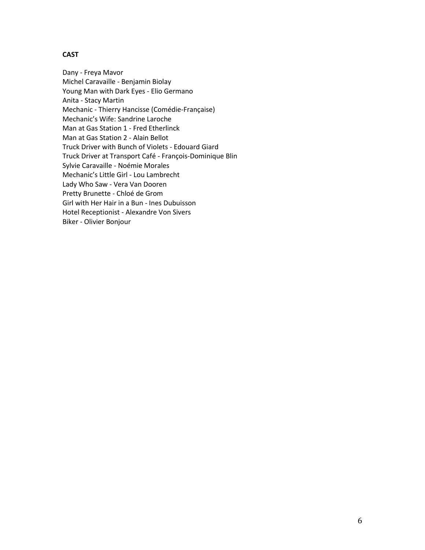# **CAST**

Dany - Freya Mavor Michel Caravaille - Benjamin Biolay Young Man with Dark Eyes - Elio Germano Anita - Stacy Martin Mechanic - Thierry Hancisse (Comédie-Française) Mechanic's Wife: Sandrine Laroche Man at Gas Station 1 - Fred Etherlinck Man at Gas Station 2 - Alain Bellot Truck Driver with Bunch of Violets - Edouard Giard Truck Driver at Transport Café - François-Dominique Blin Sylvie Caravaille - Noémie Morales Mechanic's Little Girl - Lou Lambrecht Lady Who Saw - Vera Van Dooren Pretty Brunette - Chloé de Grom Girl with Her Hair in a Bun - Ines Dubuisson Hotel Receptionist - Alexandre Von Sivers Biker - Olivier Bonjour